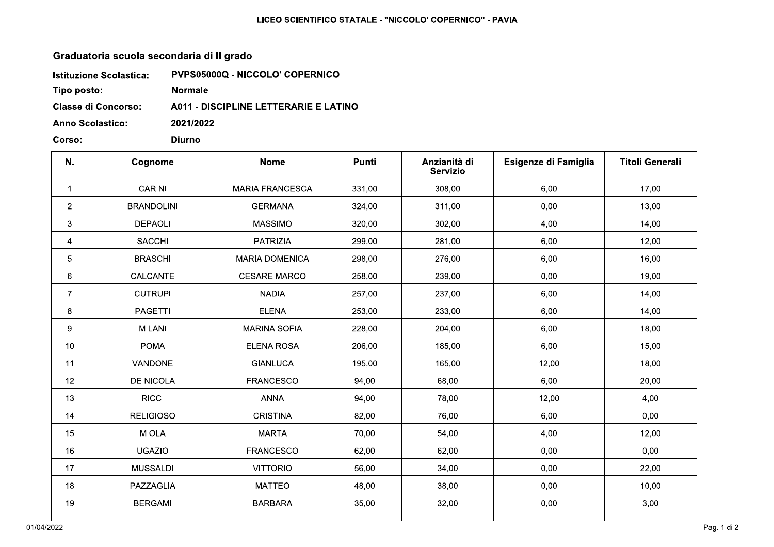## LICEO SCIENTIFICO STATALE - "NICCOLO' COPERNICO" - PAVIA

## Graduatoria scuola secondaria di Il grado

| <b>Istituzione Scolastica:</b> | <b>PVPS05000Q - NICCOLO' COPERNICO</b>       |
|--------------------------------|----------------------------------------------|
| Tipo posto:                    | <b>Normale</b>                               |
| <b>Classe di Concorso:</b>     | <b>A011 - DISCIPLINE LETTERARIE E LATINO</b> |
| <b>Anno Scolastico:</b>        | 2021/2022                                    |

**Diurno** 

Corso:

| N.              | Cognome           | <b>Nome</b>            | Punti  | Anzianità di<br><b>Servizio</b> | Esigenze di Famiglia | <b>Titoli Generali</b> |
|-----------------|-------------------|------------------------|--------|---------------------------------|----------------------|------------------------|
| $\mathbf 1$     | <b>CARINI</b>     | <b>MARIA FRANCESCA</b> | 331,00 | 308,00                          | 6,00                 | 17,00                  |
| $\overline{2}$  | <b>BRANDOLINI</b> | <b>GERMANA</b>         | 324,00 | 311,00                          | 0,00                 | 13,00                  |
| 3               | <b>DEPAOLI</b>    | <b>MASSIMO</b>         | 320,00 | 302,00                          | 4,00                 | 14,00                  |
| 4               | <b>SACCHI</b>     | PATRIZIA               | 299,00 | 281,00                          | 6,00                 | 12,00                  |
| 5               | <b>BRASCHI</b>    | <b>MARIA DOMENICA</b>  | 298,00 | 276,00                          | 6,00                 | 16,00                  |
| 6               | CALCANTE          | <b>CESARE MARCO</b>    | 258,00 | 239,00                          | 0,00                 | 19,00                  |
| $\overline{7}$  | <b>CUTRUPI</b>    | <b>NADIA</b>           | 257,00 | 237,00                          | 6,00                 | 14,00                  |
| 8               | PAGETTI           | <b>ELENA</b>           | 253,00 | 233,00                          | 6,00                 | 14,00                  |
| 9               | <b>MILANI</b>     | <b>MARINA SOFIA</b>    | 228,00 | 204,00                          | 6,00                 | 18,00                  |
| 10 <sup>°</sup> | <b>POMA</b>       | <b>ELENA ROSA</b>      | 206,00 | 185,00                          | 6,00                 | 15,00                  |
| 11              | VANDONE           | <b>GIANLUCA</b>        | 195,00 | 165,00                          | 12,00                | 18,00                  |
| 12 <sup>°</sup> | <b>DE NICOLA</b>  | <b>FRANCESCO</b>       | 94,00  | 68,00                           | 6,00                 | 20,00                  |
| 13              | <b>RICCI</b>      | <b>ANNA</b>            | 94,00  | 78,00                           | 12,00                | 4,00                   |
| 14              | <b>RELIGIOSO</b>  | <b>CRISTINA</b>        | 82,00  | 76,00                           | 6,00                 | 0,00                   |
| 15              | <b>MIOLA</b>      | <b>MARTA</b>           | 70,00  | 54,00                           | 4,00                 | 12,00                  |
| 16              | <b>UGAZIO</b>     | <b>FRANCESCO</b>       | 62,00  | 62,00                           | 0,00                 | 0,00                   |
| 17              | <b>MUSSALDI</b>   | <b>VITTORIO</b>        | 56,00  | 34,00                           | 0,00                 | 22,00                  |
| 18              | PAZZAGLIA         | <b>MATTEO</b>          | 48,00  | 38,00                           | 0,00                 | 10,00                  |
| 19              | <b>BERGAMI</b>    | <b>BARBARA</b>         | 35,00  | 32,00                           | 0,00                 | 3,00                   |